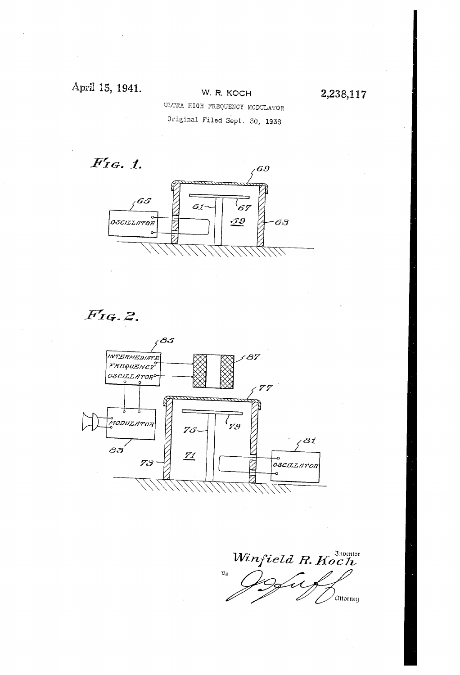## April 15, 1941.

### W. R. KOCH ULTRA HIGH FREQUENCY MODULATOR

2,238,117

Original Filed Sept. 30, 1938

 $F$ IG. 1.



 $F$ IG. 2.



Winfield R. Koch  $\mathfrak{B}_{\mathfrak{Y}}$ ,<br>Attorney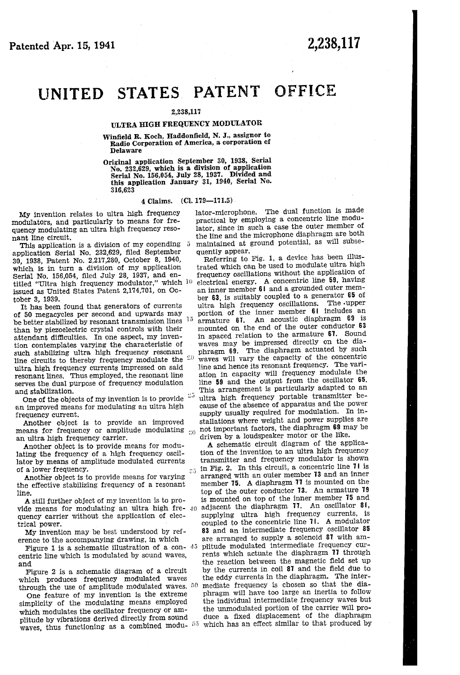# UNITED STATES PATENT OFFICE

#### 2,238,117

### ULTRA HIGH FREQUENCY MODULATOR

\Vin?eld R. Koch, Haddon?eld', N. J., assignor to Radio Corporation of America, a corporation of Delaware

Original application September 30, 1938, Serial No. 232,629, which is a division of application Serial No. 156,054, July 28, 1937. Divided and this application January 31, 1940, Serial No. 316,623

#### 4 Claims. (C1. 179—171.5) -

 $25\,$ 

My invention relates to ultra high frequency modulators, and particularly to means for fre quency modulating an ultra high frequency resonant line circuit.

This application is a division of my copending 5 application Serial No. 232,629, filed September 30, 1938, Patent No. 2,217,280, October 8, 1940, which is in turn a division of my application<br>Serial No. 156,054, filed July 28, 1937, and entitled "Ultra high frequency modulator," which  $10$ issued as United States Patent 2,174,701, on Oc tober 3, 1939.

It has been found that generators of currents of 50 megacycles per second and upwards may be better stabilized by resonant transmission lines <sup>15</sup> than by piezoelectric crystal controls with their attendant difficulties. In one aspect, my invention contemplates varying the characteristic of such stabilizing ultra high frequency resonant line circuits to thereby frequency modulate the  $20$ ultra high frequency currents impressed on said<br>resonant lines. Thus employed, the resonant line serves the dual purpose of frequency modulation and stabilization.

One of the objects of my invention is to provide  $25$  an improved means for modulating an ultra high frequency current.<br>Another object is to provide an improved

means for frequency or amplitude modulating  $_{20}$ an ultra high frequency carrier.

Another object is to provide means for modu lating the frequency of a high frequency oscil lator by means of amplitude modulated currents of a lower frequency.

Another object is to provide means for varying the effective stabilizing frequency of a resonant line.

A still further object of my invention is to pro quency carrier without the application of elec trical power.

My invention may be best understood by reference to the accompanying drawing, in which

Figure 1 is a schematic illustration of a con-  $45$ centric line which is modulated by sound waves, and

Figure 2 is a schematic diagram of a circuit which produces frequency modulated waves<br>through the use of amplitude modulated waves.  $50$ 

One feature of my invention is the extreme simplicity of the modulating means employed which modulates the oscillator frequency or amplitude by vibrations derived directly from sound plitude by vibrations derived directly from sound waves, thus functioning as a combined modu-  $55$  which has an effect similar to that produced by waves.

lator-microphone. The dual function is made practical by employing a concentric line modu lator, since in such a case the outer member of the line and the microphone diaphragm are both maintained at ground potential, as will subse quently appear.

'

Referring to. Fig. 1, a device has been illus trated which can be used to modulate ultra high frequency oscillations without the application of electrical energy. A concentric line 59, having an inner member 61 and a grounded outer member 63, is suitably coupled to a generator 65 of ultra high frequency oscillations. The upper portion of the inner member 61 includes an armature 61. An acoustic diaphragm 69 is mounted on the end of the outer conductor 63<br>in spaced relation to the armature 67. Sound waves may be impressed directly on the diaphragm B9. The diaphragm actuated by such Waves will vary the capacity of the concentric line and hence its resonant frequency. The vari ation in capacity will frequency modulate the line 59 and the output from the oscillator 65. This arrangement is particularly adapted to an ultra high frequency portable transmitter because of the absence of apparatus and the power supply usually required for modulation. In in stallations where weight and power supplies are not important factors, the diaphragm 69 may be driven by a loudspeaker motor or the like.

vide means for modulating an ultra high fre-  $40$  adjacent the diaphragm 11. An oscillator 81, A schematic circuit diagram of the applica tion of the invention to an ultra high frequency transmitter and frequency modulator is shown in Fig. 2. In this circuit, a concentric line 71 is arranged with an outer member 13 and an inner member 15. A diaphragm 11 is mounted on the top of the outer conductor 13. An armature 19 is mounted on top of the inner member 15 and supplying ultra high frequency currents, is coupled to the concentric line 'H. A modulator 83 and an intermediate frequency oscillator 85 are arranged to supply a solenoid 81 with am ' plitude modulated intermediate frequency cur rents which actuate the diaphragm 11 through the reaction between the magnetic field set up by the currents in coil 87 and the field due to the eddy currents in the diaphragm. The inter mediate frequency is chosen so that the dia phragm will have too large an inertia to follow the individual intermediate frequency waves but the unmodulated portion of the carrier will pro duce a fixed displacement of the diaphragm